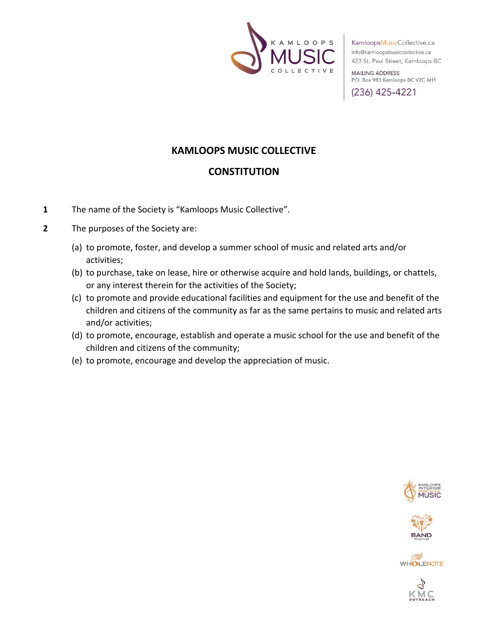

**MAILING ADDRESS** P.O. Box 983 Kamloops BC V2C 6H1

(236) 425-4221

# **KAMLOOPS MUSIC COLLECTIVE**

## **CONSTITUTION**

- **1** The name of the Society is "Kamloops Music Collective".
- **2** The purposes of the Society are:
	- (a) to promote, foster, and develop a summer school of music and related arts and/or activities;
	- (b) to purchase, take on lease, hire or otherwise acquire and hold lands, buildings, or chattels, or any interest therein for the activities of the Society;
	- (c) to promote and provide educational facilities and equipment for the use and benefit of the children and citizens of the community as far as the same pertains to music and related arts and/or activities;
	- (d) to promote, encourage, establish and operate a music school for the use and benefit of the children and citizens of the community;
	- (e) to promote, encourage and develop the appreciation of music.





**WHOLENOTE** 

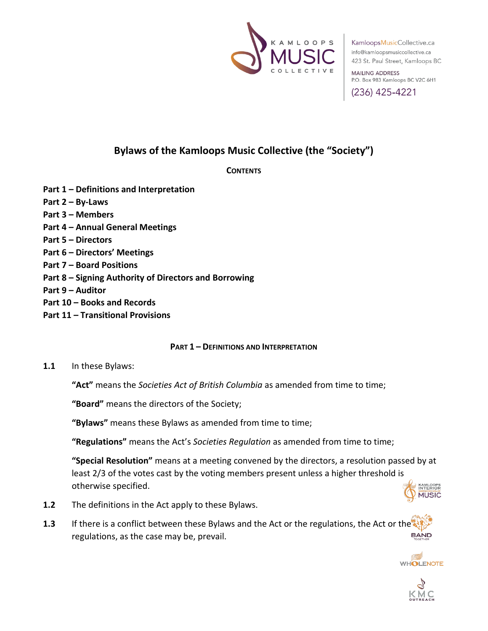

**MAILING ADDRESS** P.O. Box 983 Kamloops BC V2C 6H1

(236) 425-4221

# **Bylaws of the Kamloops Music Collective (the "Society")**

## **CONTENTS**

- **Part 1 – Definitions and Interpretation**
- **Part 2 – By-Laws**
- **Part 3 – Members**
- **Part 4 – Annual General Meetings**
- **Part 5 – Directors**
- **Part 6 – Directors' Meetings**
- **Part 7 – Board Positions**
- **Part 8 – Signing Authority of Directors and Borrowing**
- **Part 9 – Auditor**
- **Part 10 – Books and Records**
- **Part 11 – Transitional Provisions**

## **PART 1 – DEFINITIONS AND INTERPRETATION**

**1.1** In these Bylaws:

**"Act"** means the *Societies Act of British Columbia* as amended from time to time;

**"Board"** means the directors of the Society;

**"Bylaws"** means these Bylaws as amended from time to time;

**"Regulations"** means the Act's *Societies Regulation* as amended from time to time;

**"Special Resolution"** means at a meeting convened by the directors, a resolution passed by at least 2/3 of the votes cast by the voting members present unless a higher threshold is otherwise specified.



- **1.2** The definitions in the Act apply to these Bylaws.
- **1.3** If there is a conflict between these Bylaws and the Act or the regulations, the Act or the **BAND** regulations, as the case may be, prevail.



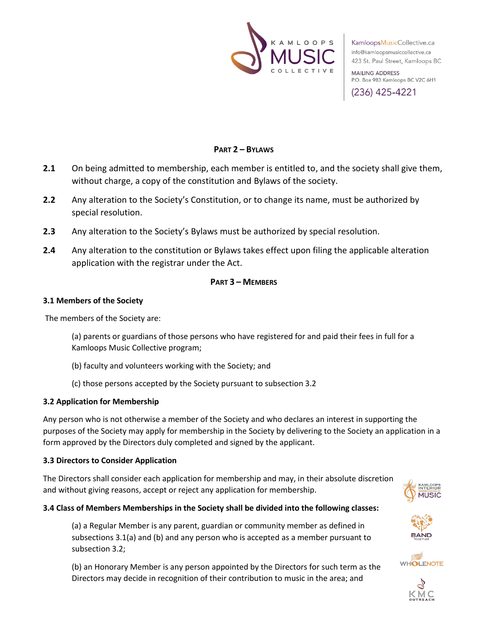

**MAILING ADDRESS** P.O. Box 983 Kamloops BC V2C 6H1

(236) 425-4221

## **PART 2 – BYLAWS**

- **2.1** On being admitted to membership, each member is entitled to, and the society shall give them, without charge, a copy of the constitution and Bylaws of the society.
- **2.2** Any alteration to the Society's Constitution, or to change its name, must be authorized by special resolution.
- **2.3** Any alteration to the Society's Bylaws must be authorized by special resolution.
- **2.4** Any alteration to the constitution or Bylaws takes effect upon filing the applicable alteration application with the registrar under the Act.

## **PART 3 – MEMBERS**

#### **3.1 Members of the Society**

The members of the Society are:

(a) parents or guardians of those persons who have registered for and paid their fees in full for a Kamloops Music Collective program;

- (b) faculty and volunteers working with the Society; and
- (c) those persons accepted by the Society pursuant to subsection 3.2

## **3.2 Application for Membership**

Any person who is not otherwise a member of the Society and who declares an interest in supporting the purposes of the Society may apply for membership in the Society by delivering to the Society an application in a form approved by the Directors duly completed and signed by the applicant.

## **3.3 Directors to Consider Application**

The Directors shall consider each application for membership and may, in their absolute discretion and without giving reasons, accept or reject any application for membership.



## **3.4 Class of Members Memberships in the Society shall be divided into the following classes:**

(a) a Regular Member is any parent, guardian or community member as defined in subsections 3.1(a) and (b) and any person who is accepted as a member pursuant to subsection 3.2;

(b) an Honorary Member is any person appointed by the Directors for such term as the Directors may decide in recognition of their contribution to music in the area; and





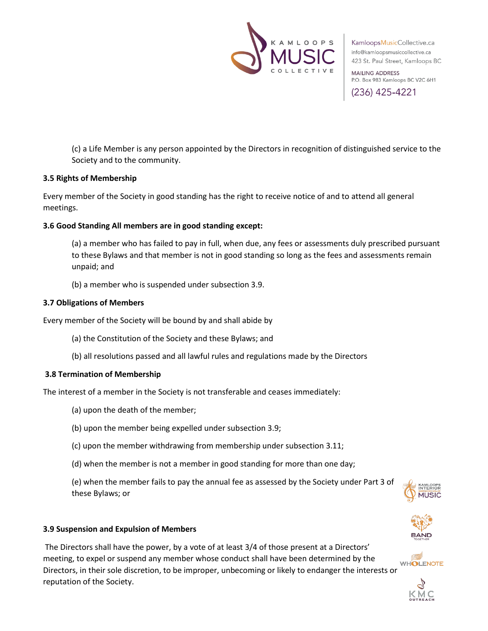

**MAILING ADDRESS** P.O. Box 983 Kamloops BC V2C 6H1

(236) 425-4221

(c) a Life Member is any person appointed by the Directors in recognition of distinguished service to the Society and to the community.

#### **3.5 Rights of Membership**

Every member of the Society in good standing has the right to receive notice of and to attend all general meetings.

## **3.6 Good Standing All members are in good standing except:**

(a) a member who has failed to pay in full, when due, any fees or assessments duly prescribed pursuant to these Bylaws and that member is not in good standing so long as the fees and assessments remain unpaid; and

(b) a member who is suspended under subsection 3.9.

#### **3.7 Obligations of Members**

Every member of the Society will be bound by and shall abide by

- (a) the Constitution of the Society and these Bylaws; and
- (b) all resolutions passed and all lawful rules and regulations made by the Directors

#### **3.8 Termination of Membership**

The interest of a member in the Society is not transferable and ceases immediately:

- (a) upon the death of the member;
- (b) upon the member being expelled under subsection 3.9;
- (c) upon the member withdrawing from membership under subsection 3.11;
- (d) when the member is not a member in good standing for more than one day;

(e) when the member fails to pay the annual fee as assessed by the Society under Part 3 of these Bylaws; or



#### **3.9 Suspension and Expulsion of Members**

The Directors shall have the power, by a vote of at least 3/4 of those present at a Directors' meeting, to expel or suspend any member whose conduct shall have been determined by the Directors, in their sole discretion, to be improper, unbecoming or likely to endanger the interests or reputation of the Society.



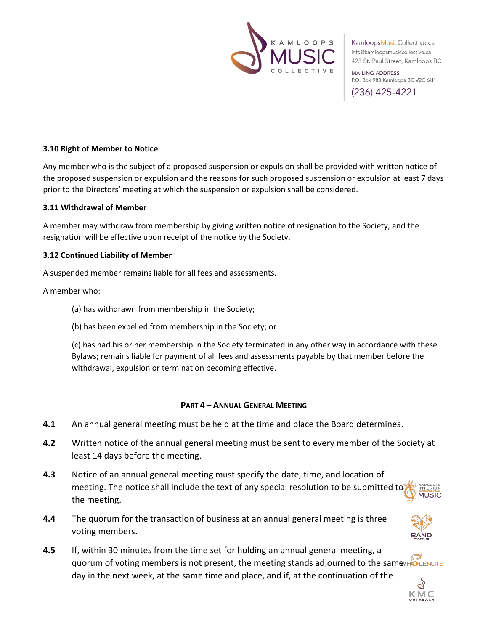

**MAILING ADDRESS** P.O. Box 983 Kamloops BC V2C 6H1

(236) 425-4221

## **3.10 Right of Member to Notice**

Any member who is the subject of a proposed suspension or expulsion shall be provided with written notice of the proposed suspension or expulsion and the reasons for such proposed suspension or expulsion at least 7 days prior to the Directors' meeting at which the suspension or expulsion shall be considered.

#### **3.11 Withdrawal of Member**

A member may withdraw from membership by giving written notice of resignation to the Society, and the resignation will be effective upon receipt of the notice by the Society.

#### **3.12 Continued Liability of Member**

A suspended member remains liable for all fees and assessments.

#### A member who:

- (a) has withdrawn from membership in the Society;
- (b) has been expelled from membership in the Society; or

(c) has had his or her membership in the Society terminated in any other way in accordance with these Bylaws; remains liable for payment of all fees and assessments payable by that member before the withdrawal, expulsion or termination becoming effective.

#### **PART 4 – ANNUAL GENERAL MEETING**

- **4.1** An annual general meeting must be held at the time and place the Board determines.
- **4.2** Written notice of the annual general meeting must be sent to every member of the Society at least 14 days before the meeting.
- **4.3** Notice of an annual general meeting must specify the date, time, and location of meeting. The notice shall include the text of any special resolution to be submitted to MISIC the meeting.
- **4.4** The quorum for the transaction of business at an annual general meeting is three voting members.



**4.5** If, within 30 minutes from the time set for holding an annual general meeting, a quorum of voting members is not present, the meeting stands adjourned to the same HOLENOTE day in the next week, at the same time and place, and if, at the continuation of the

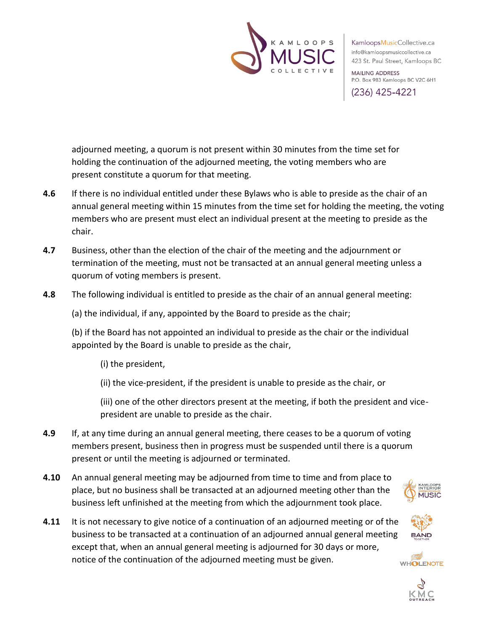

**MAILING ADDRESS** P.O. Box 983 Kamloops BC V2C 6H1

(236) 425-4221

adjourned meeting, a quorum is not present within 30 minutes from the time set for holding the continuation of the adjourned meeting, the voting members who are present constitute a quorum for that meeting.

- **4.6** If there is no individual entitled under these Bylaws who is able to preside as the chair of an annual general meeting within 15 minutes from the time set for holding the meeting, the voting members who are present must elect an individual present at the meeting to preside as the chair.
- **4.7** Business, other than the election of the chair of the meeting and the adjournment or termination of the meeting, must not be transacted at an annual general meeting unless a quorum of voting members is present.
- **4.8** The following individual is entitled to preside as the chair of an annual general meeting:

(a) the individual, if any, appointed by the Board to preside as the chair;

(b) if the Board has not appointed an individual to preside as the chair or the individual appointed by the Board is unable to preside as the chair,

(i) the president,

(ii) the vice-president, if the president is unable to preside as the chair, or

(iii) one of the other directors present at the meeting, if both the president and vicepresident are unable to preside as the chair.

- **4.9** If, at any time during an annual general meeting, there ceases to be a quorum of voting members present, business then in progress must be suspended until there is a quorum present or until the meeting is adjourned or terminated.
- **4.10** An annual general meeting may be adjourned from time to time and from place to place, but no business shall be transacted at an adjourned meeting other than the business left unfinished at the meeting from which the adjournment took place.





**MITSIC** 

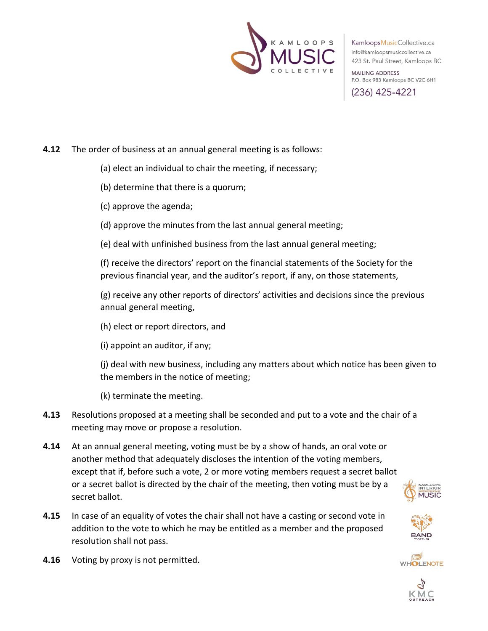

**MAILING ADDRESS** P.O. Box 983 Kamloops BC V2C 6H1

(236) 425-4221

## **4.12** The order of business at an annual general meeting is as follows:

- (a) elect an individual to chair the meeting, if necessary;
- (b) determine that there is a quorum;
- (c) approve the agenda;
- (d) approve the minutes from the last annual general meeting;
- (e) deal with unfinished business from the last annual general meeting;

(f) receive the directors' report on the financial statements of the Society for the previous financial year, and the auditor's report, if any, on those statements,

(g) receive any other reports of directors' activities and decisions since the previous annual general meeting,

(h) elect or report directors, and

(i) appoint an auditor, if any;

(j) deal with new business, including any matters about which notice has been given to the members in the notice of meeting;

(k) terminate the meeting.

- **4.13** Resolutions proposed at a meeting shall be seconded and put to a vote and the chair of a meeting may move or propose a resolution.
- **4.14** At an annual general meeting, voting must be by a show of hands, an oral vote or another method that adequately discloses the intention of the voting members, except that if, before such a vote, 2 or more voting members request a secret ballot or a secret ballot is directed by the chair of the meeting, then voting must be by a secret ballot.
- **4.15** In case of an equality of votes the chair shall not have a casting or second vote in addition to the vote to which he may be entitled as a member and the proposed resolution shall not pass.
- **4.16** Voting by proxy is not permitted.





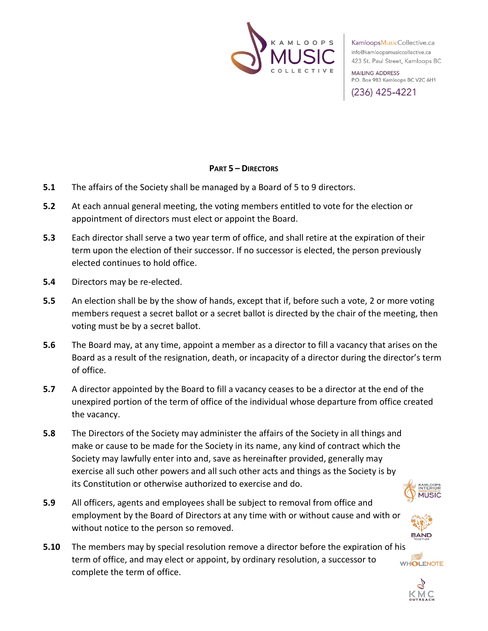

**MAILING ADDRESS** P.O. Box 983 Kamloops BC V2C 6H1

(236) 425-4221

## **PART 5 – DIRECTORS**

- **5.1** The affairs of the Society shall be managed by a Board of 5 to 9 directors.
- **5.2** At each annual general meeting, the voting members entitled to vote for the election or appointment of directors must elect or appoint the Board.
- **5.3** Each director shall serve a two year term of office, and shall retire at the expiration of their term upon the election of their successor. If no successor is elected, the person previously elected continues to hold office.
- **5.4** Directors may be re-elected.
- **5.5** An election shall be by the show of hands, except that if, before such a vote, 2 or more voting members request a secret ballot or a secret ballot is directed by the chair of the meeting, then voting must be by a secret ballot.
- **5.6** The Board may, at any time, appoint a member as a director to fill a vacancy that arises on the Board as a result of the resignation, death, or incapacity of a director during the director's term of office.
- **5.7** A director appointed by the Board to fill a vacancy ceases to be a director at the end of the unexpired portion of the term of office of the individual whose departure from office created the vacancy.
- **5.8** The Directors of the Society may administer the affairs of the Society in all things and make or cause to be made for the Society in its name, any kind of contract which the Society may lawfully enter into and, save as hereinafter provided, generally may exercise all such other powers and all such other acts and things as the Society is by its Constitution or otherwise authorized to exercise and do.



- **5.9** All officers, agents and employees shall be subject to removal from office and employment by the Board of Directors at any time with or without cause and with or without notice to the person so removed.
- **5.10** The members may by special resolution remove a director before the expiration of his term of office, and may elect or appoint, by ordinary resolution, a successor to **WHOLENOTE** complete the term of office.

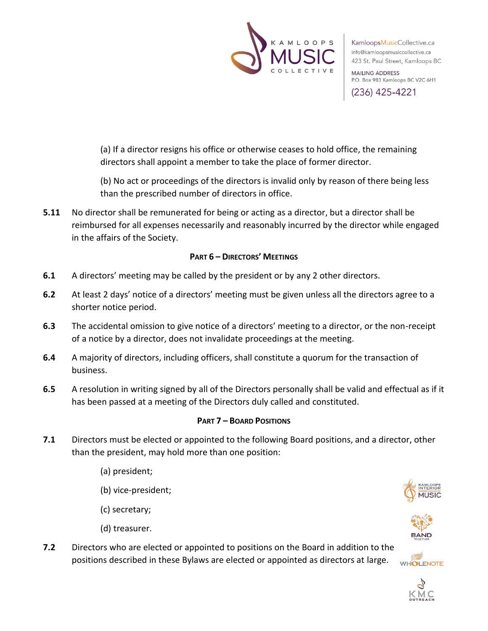

**MAILING ADDRESS** P.O. Box 983 Kamloops BC V2C 6H1

(236) 425-4221

(a) If a director resigns his office or otherwise ceases to hold office, the remaining directors shall appoint a member to take the place of former director.

(b) No act or proceedings of the directors is invalid only by reason of there being less than the prescribed number of directors in office.

**5.11** No director shall be remunerated for being or acting as a director, but a director shall be reimbursed for all expenses necessarily and reasonably incurred by the director while engaged in the affairs of the Society.

## **PART 6 – DIRECTORS' MEETINGS**

- **6.1** A directors' meeting may be called by the president or by any 2 other directors.
- **6.2** At least 2 days' notice of a directors' meeting must be given unless all the directors agree to a shorter notice period.
- **6.3** The accidental omission to give notice of a directors' meeting to a director, or the non-receipt of a notice by a director, does not invalidate proceedings at the meeting.
- **6.4** A majority of directors, including officers, shall constitute a quorum for the transaction of business.
- **6.5** A resolution in writing signed by all of the Directors personally shall be valid and effectual as if it has been passed at a meeting of the Directors duly called and constituted.

## **PART 7 – BOARD POSITIONS**

- **7.1** Directors must be elected or appointed to the following Board positions, and a director, other than the president, may hold more than one position:
	- (a) president;
	- (b) vice-president;
	- (c) secretary;
	- (d) treasurer.
- **7.2** Directors who are elected or appointed to positions on the Board in addition to the positions described in these Bylaws are elected or appointed as directors at large.**WHOLENOTE**





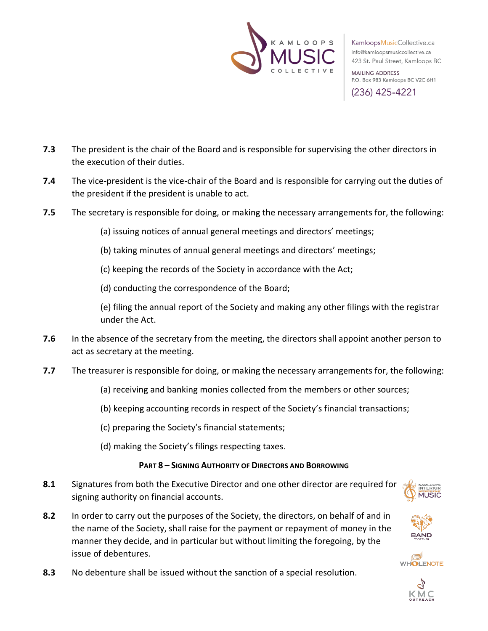

**MAILING ADDRESS** P.O. Box 983 Kamloops BC V2C 6H1

(236) 425-4221

- **7.3** The president is the chair of the Board and is responsible for supervising the other directors in the execution of their duties.
- **7.4** The vice-president is the vice-chair of the Board and is responsible for carrying out the duties of the president if the president is unable to act.
- **7.5** The secretary is responsible for doing, or making the necessary arrangements for, the following:
	- (a) issuing notices of annual general meetings and directors' meetings;
	- (b) taking minutes of annual general meetings and directors' meetings;
	- (c) keeping the records of the Society in accordance with the Act;
	- (d) conducting the correspondence of the Board;

(e) filing the annual report of the Society and making any other filings with the registrar under the Act.

- **7.6** In the absence of the secretary from the meeting, the directors shall appoint another person to act as secretary at the meeting.
- **7.7** The treasurer is responsible for doing, or making the necessary arrangements for, the following:
	- (a) receiving and banking monies collected from the members or other sources;
	- (b) keeping accounting records in respect of the Society's financial transactions;
	- (c) preparing the Society's financial statements;
	- (d) making the Society's filings respecting taxes.

## **PART 8 – SIGNING AUTHORITY OF DIRECTORS AND BORROWING**

- **8.1** Signatures from both the Executive Director and one other director are required for signing authority on financial accounts.
- **8.2** In order to carry out the purposes of the Society, the directors, on behalf of and in the name of the Society, shall raise for the payment or repayment of money in the manner they decide, and in particular but without limiting the foregoing, by the issue of debentures.





**WHOLENOTE** 

**8.3** No debenture shall be issued without the sanction of a special resolution.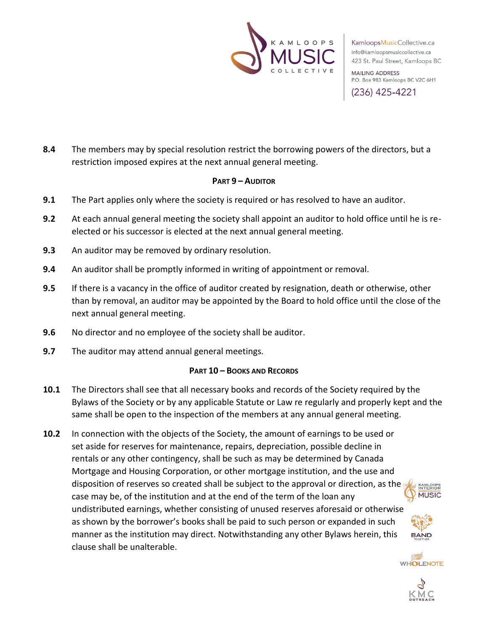

**MAILING ADDRESS** P.O. Box 983 Kamloops BC V2C 6H1

(236) 425-4221

**8.4** The members may by special resolution restrict the borrowing powers of the directors, but a restriction imposed expires at the next annual general meeting.

## **PART 9 – AUDITOR**

- **9.1** The Part applies only where the society is required or has resolved to have an auditor.
- **9.2** At each annual general meeting the society shall appoint an auditor to hold office until he is reelected or his successor is elected at the next annual general meeting.
- **9.3** An auditor may be removed by ordinary resolution.
- **9.4** An auditor shall be promptly informed in writing of appointment or removal.
- **9.5** If there is a vacancy in the office of auditor created by resignation, death or otherwise, other than by removal, an auditor may be appointed by the Board to hold office until the close of the next annual general meeting.
- **9.6** No director and no employee of the society shall be auditor.
- **9.7** The auditor may attend annual general meetings.

## **PART 10 – BOOKS AND RECORDS**

- **10.1** The Directors shall see that all necessary books and records of the Society required by the Bylaws of the Society or by any applicable Statute or Law re regularly and properly kept and the same shall be open to the inspection of the members at any annual general meeting.
- **10.2** In connection with the objects of the Society, the amount of earnings to be used or set aside for reserves for maintenance, repairs, depreciation, possible decline in rentals or any other contingency, shall be such as may be determined by Canada Mortgage and Housing Corporation, or other mortgage institution, and the use and disposition of reserves so created shall be subject to the approval or direction, as the KAMLOOPS<br>INTERIOR **MUSIC** case may be, of the institution and at the end of the term of the loan any undistributed earnings, whether consisting of unused reserves aforesaid or otherwise as shown by the borrower's books shall be paid to such person or expanded in such manner as the institution may direct. Notwithstanding any other Bylaws herein, this clause shall be unalterable.



**WHOLENOTE**